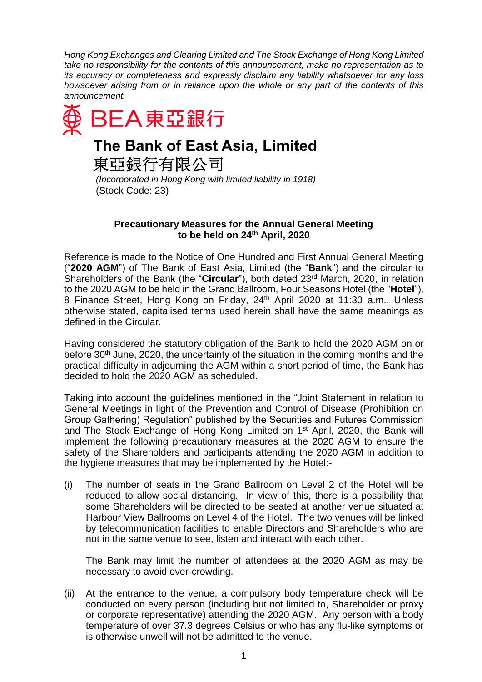*Hong Kong Exchanges and Clearing Limited and The Stock Exchange of Hong Kong Limited take no responsibility for the contents of this announcement, make no representation as to its accuracy or completeness and expressly disclaim any liability whatsoever for any loss howsoever arising from or in reliance upon the whole or any part of the contents of this announcement.*



## **The Bank of East Asia, Limited**

東亞銀行有限公司

*(Incorporated in Hong Kong with limited liability in 1918)* (Stock Code: 23)

## **Precautionary Measures for the Annual General Meeting to be held on 24th April, 2020**

Reference is made to the Notice of One Hundred and First Annual General Meeting ("**2020 AGM**") of The Bank of East Asia, Limited (the "**Bank**") and the circular to Shareholders of the Bank (the "**Circular**"), both dated 23rd March, 2020, in relation to the 2020 AGM to be held in the Grand Ballroom, Four Seasons Hotel (the "**Hotel**"), 8 Finance Street, Hong Kong on Friday, 24th April 2020 at 11:30 a.m.. Unless otherwise stated, capitalised terms used herein shall have the same meanings as defined in the Circular.

Having considered the statutory obligation of the Bank to hold the 2020 AGM on or before 30<sup>th</sup> June, 2020, the uncertainty of the situation in the coming months and the practical difficulty in adjourning the AGM within a short period of time, the Bank has decided to hold the 2020 AGM as scheduled.

Taking into account the guidelines mentioned in the "Joint Statement in relation to General Meetings in light of the Prevention and Control of Disease (Prohibition on Group Gathering) Regulation" published by the Securities and Futures Commission and The Stock Exchange of Hong Kong Limited on 1<sup>st</sup> April, 2020, the Bank will implement the following precautionary measures at the 2020 AGM to ensure the safety of the Shareholders and participants attending the 2020 AGM in addition to the hygiene measures that may be implemented by the Hotel:-

(i) The number of seats in the Grand Ballroom on Level 2 of the Hotel will be reduced to allow social distancing. In view of this, there is a possibility that some Shareholders will be directed to be seated at another venue situated at Harbour View Ballrooms on Level 4 of the Hotel. The two venues will be linked by telecommunication facilities to enable Directors and Shareholders who are not in the same venue to see, listen and interact with each other.

The Bank may limit the number of attendees at the 2020 AGM as may be necessary to avoid over-crowding.

(ii) At the entrance to the venue, a compulsory body temperature check will be conducted on every person (including but not limited to, Shareholder or proxy or corporate representative) attending the 2020 AGM. Any person with a body temperature of over 37.3 degrees Celsius or who has any flu-like symptoms or is otherwise unwell will not be admitted to the venue.